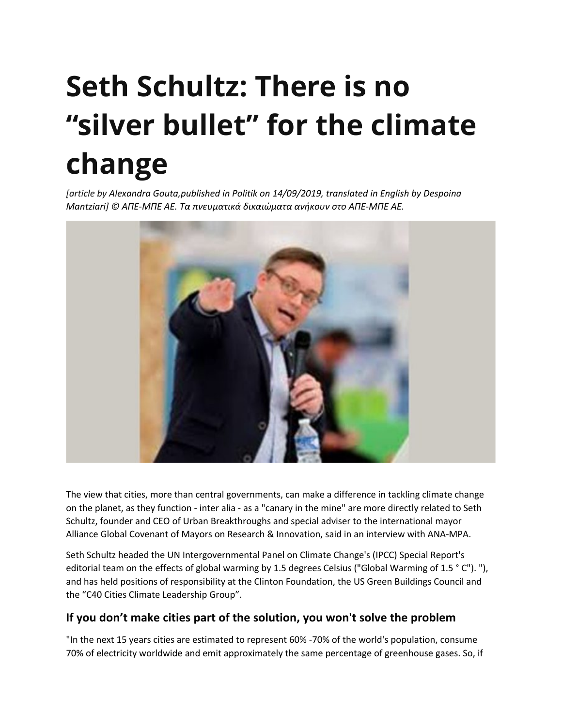# **Seth Schultz: There is no "silver bullet" for the climate change**

*[article by Alexandra Gouta,published in Politik on 14/09/2019, translated in English by Despoina Mantziari] © ΑΠΕ-ΜΠΕ ΑΕ. Τα πνευματικά δικαιώματα ανήκουν στο ΑΠΕ-ΜΠΕ ΑΕ.*



The view that cities, more than central governments, can make a difference in tackling climate change on the planet, as they function - inter alia - as a "canary in the mine" are more directly related to Seth Schultz, founder and CEO of Urban Breakthroughs and special adviser to the international mayor Alliance Global Covenant of Mayors on Research & Innovation, said in an interview with ANA-MPA.

Seth Schultz headed the UN Intergovernmental Panel on Climate Change's (IPCC) Special Report's editorial team on the effects of global warming by 1.5 degrees Celsius ("Global Warming of 1.5 ° C"). "), and has held positions of responsibility at the Clinton Foundation, the US Green Buildings Council and the "C40 Cities Climate Leadership Group".

### **If you don't make cities part of the solution, you won't solve the problem**

"In the next 15 years cities are estimated to represent 60% -70% of the world's population, consume 70% of electricity worldwide and emit approximately the same percentage of greenhouse gases. So, if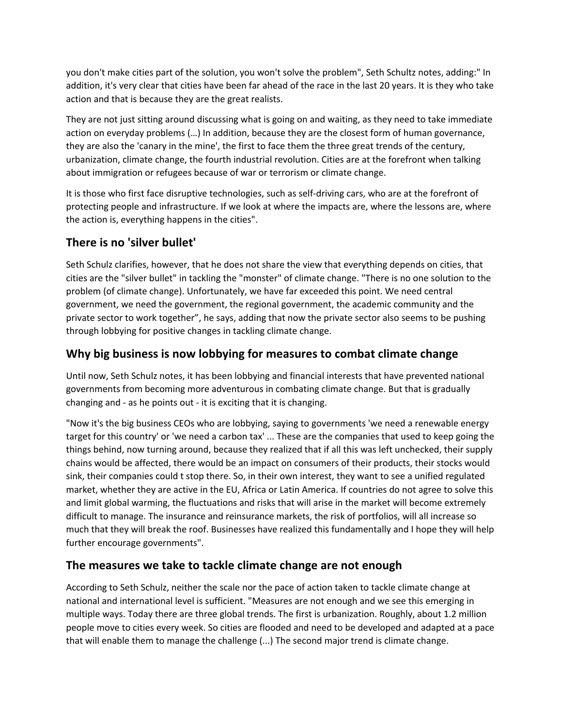you don't make cities part of the solution, you won't solve the problem", Seth Schultz notes, adding:" In addition, it's very clear that cities have been far ahead of the race in the last 20 years. It is they who take action and that is because they are the great realists.

They are not just sitting around discussing what is going on and waiting, as they need to take immediate action on everyday problems (…) In addition, because they are the closest form of human governance, they are also the 'canary in the mine', the first to face them the three great trends of the century, urbanization, climate change, the fourth industrial revolution. Cities are at the forefront when talking about immigration or refugees because of war or terrorism or climate change.

It is those who first face disruptive technologies, such as self-driving cars, who are at the forefront of protecting people and infrastructure. If we look at where the impacts are, where the lessons are, where the action is, everything happens in the cities".

# **There is no 'silver bullet'**

Seth Schulz clarifies, however, that he does not share the view that everything depends on cities, that cities are the "silver bullet" in tackling the "monster" of climate change. "There is no one solution to the problem (of climate change). Unfortunately, we have far exceeded this point. We need central government, we need the government, the regional government, the academic community and the private sector to work together", he says, adding that now the private sector also seems to be pushing through lobbying for positive changes in tackling climate change.

# **Why big business is now lobbying for measures to combat climate change**

Until now, Seth Schulz notes, it has been lobbying and financial interests that have prevented national governments from becoming more adventurous in combating climate change. But that is gradually changing and - as he points out - it is exciting that it is changing.

"Now it's the big business CEOs who are lobbying, saying to governments 'we need a renewable energy target for this country' or 'we need a carbon tax' ... These are the companies that used to keep going the things behind, now turning around, because they realized that if all this was left unchecked, their supply chains would be affected, there would be an impact on consumers of their products, their stocks would sink, their companies could t stop there. So, in their own interest, they want to see a unified regulated market, whether they are active in the EU, Africa or Latin America. If countries do not agree to solve this and limit global warming, the fluctuations and risks that will arise in the market will become extremely difficult to manage. The insurance and reinsurance markets, the risk of portfolios, will all increase so much that they will break the roof. Businesses have realized this fundamentally and I hope they will help further encourage governments".

# **The measures we take to tackle climate change are not enough**

According to Seth Schulz, neither the scale nor the pace of action taken to tackle climate change at national and international level is sufficient. "Measures are not enough and we see this emerging in multiple ways. Today there are three global trends. The first is urbanization. Roughly, about 1.2 million people move to cities every week. So cities are flooded and need to be developed and adapted at a pace that will enable them to manage the challenge (...) The second major trend is climate change.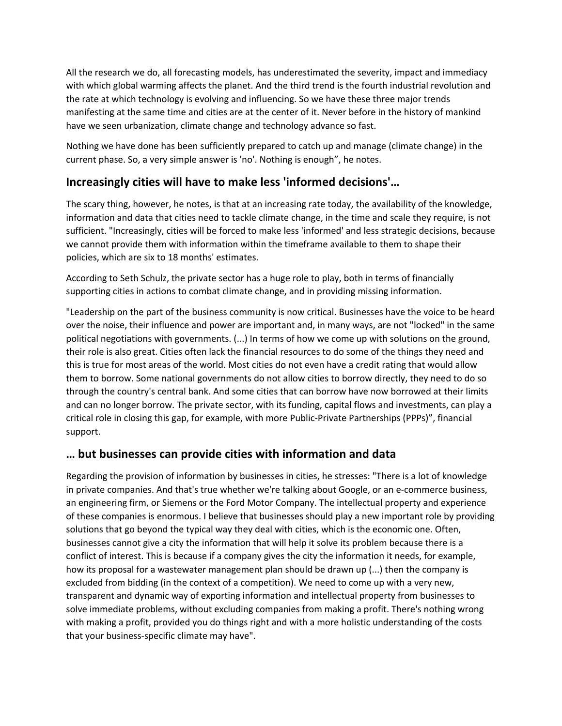All the research we do, all forecasting models, has underestimated the severity, impact and immediacy with which global warming affects the planet. And the third trend is the fourth industrial revolution and the rate at which technology is evolving and influencing. So we have these three major trends manifesting at the same time and cities are at the center of it. Never before in the history of mankind have we seen urbanization, climate change and technology advance so fast.

Nothing we have done has been sufficiently prepared to catch up and manage (climate change) in the current phase. So, a very simple answer is 'no'. Nothing is enough", he notes.

## **Increasingly cities will have to make less 'informed decisions'…**

The scary thing, however, he notes, is that at an increasing rate today, the availability of the knowledge, information and data that cities need to tackle climate change, in the time and scale they require, is not sufficient. "Increasingly, cities will be forced to make less 'informed' and less strategic decisions, because we cannot provide them with information within the timeframe available to them to shape their policies, which are six to 18 months' estimates.

According to Seth Schulz, the private sector has a huge role to play, both in terms of financially supporting cities in actions to combat climate change, and in providing missing information.

"Leadership on the part of the business community is now critical. Businesses have the voice to be heard over the noise, their influence and power are important and, in many ways, are not "locked" in the same political negotiations with governments. (...) In terms of how we come up with solutions on the ground, their role is also great. Cities often lack the financial resources to do some of the things they need and this is true for most areas of the world. Most cities do not even have a credit rating that would allow them to borrow. Some national governments do not allow cities to borrow directly, they need to do so through the country's central bank. And some cities that can borrow have now borrowed at their limits and can no longer borrow. The private sector, with its funding, capital flows and investments, can play a critical role in closing this gap, for example, with more Public-Private Partnerships (PPPs)", financial support.

### **… but businesses can provide cities with information and data**

Regarding the provision of information by businesses in cities, he stresses: "There is a lot of knowledge in private companies. And that's true whether we're talking about Google, or an e-commerce business, an engineering firm, or Siemens or the Ford Motor Company. The intellectual property and experience of these companies is enormous. I believe that businesses should play a new important role by providing solutions that go beyond the typical way they deal with cities, which is the economic one. Often, businesses cannot give a city the information that will help it solve its problem because there is a conflict of interest. This is because if a company gives the city the information it needs, for example, how its proposal for a wastewater management plan should be drawn up (...) then the company is excluded from bidding (in the context of a competition). We need to come up with a very new, transparent and dynamic way of exporting information and intellectual property from businesses to solve immediate problems, without excluding companies from making a profit. There's nothing wrong with making a profit, provided you do things right and with a more holistic understanding of the costs that your business-specific climate may have".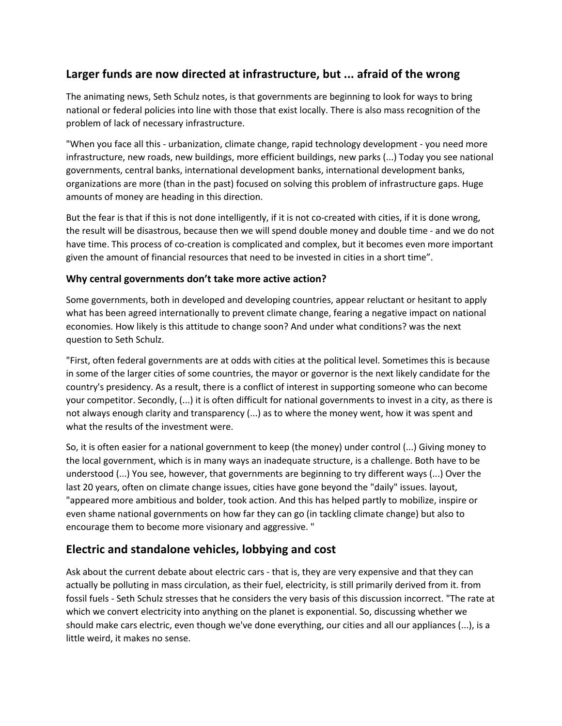# **Larger funds are now directed at infrastructure, but ... afraid of the wrong**

The animating news, Seth Schulz notes, is that governments are beginning to look for ways to bring national or federal policies into line with those that exist locally. There is also mass recognition of the problem of lack of necessary infrastructure.

"When you face all this - urbanization, climate change, rapid technology development - you need more infrastructure, new roads, new buildings, more efficient buildings, new parks (...) Today you see national governments, central banks, international development banks, international development banks, organizations are more (than in the past) focused on solving this problem of infrastructure gaps. Huge amounts of money are heading in this direction.

But the fear is that if this is not done intelligently, if it is not co-created with cities, if it is done wrong, the result will be disastrous, because then we will spend double money and double time - and we do not have time. This process of co-creation is complicated and complex, but it becomes even more important given the amount of financial resources that need to be invested in cities in a short time".

#### **Why central governments don't take more active action?**

Some governments, both in developed and developing countries, appear reluctant or hesitant to apply what has been agreed internationally to prevent climate change, fearing a negative impact on national economies. How likely is this attitude to change soon? And under what conditions? was the next question to Seth Schulz.

"First, often federal governments are at odds with cities at the political level. Sometimes this is because in some of the larger cities of some countries, the mayor or governor is the next likely candidate for the country's presidency. As a result, there is a conflict of interest in supporting someone who can become your competitor. Secondly, (...) it is often difficult for national governments to invest in a city, as there is not always enough clarity and transparency (...) as to where the money went, how it was spent and what the results of the investment were.

So, it is often easier for a national government to keep (the money) under control (...) Giving money to the local government, which is in many ways an inadequate structure, is a challenge. Both have to be understood (...) You see, however, that governments are beginning to try different ways (...) Over the last 20 years, often on climate change issues, cities have gone beyond the "daily" issues. layout, "appeared more ambitious and bolder, took action. And this has helped partly to mobilize, inspire or even shame national governments on how far they can go (in tackling climate change) but also to encourage them to become more visionary and aggressive. "

### **Electric and standalone vehicles, lobbying and cost**

Ask about the current debate about electric cars - that is, they are very expensive and that they can actually be polluting in mass circulation, as their fuel, electricity, is still primarily derived from it. from fossil fuels - Seth Schulz stresses that he considers the very basis of this discussion incorrect. "The rate at which we convert electricity into anything on the planet is exponential. So, discussing whether we should make cars electric, even though we've done everything, our cities and all our appliances (...), is a little weird, it makes no sense.